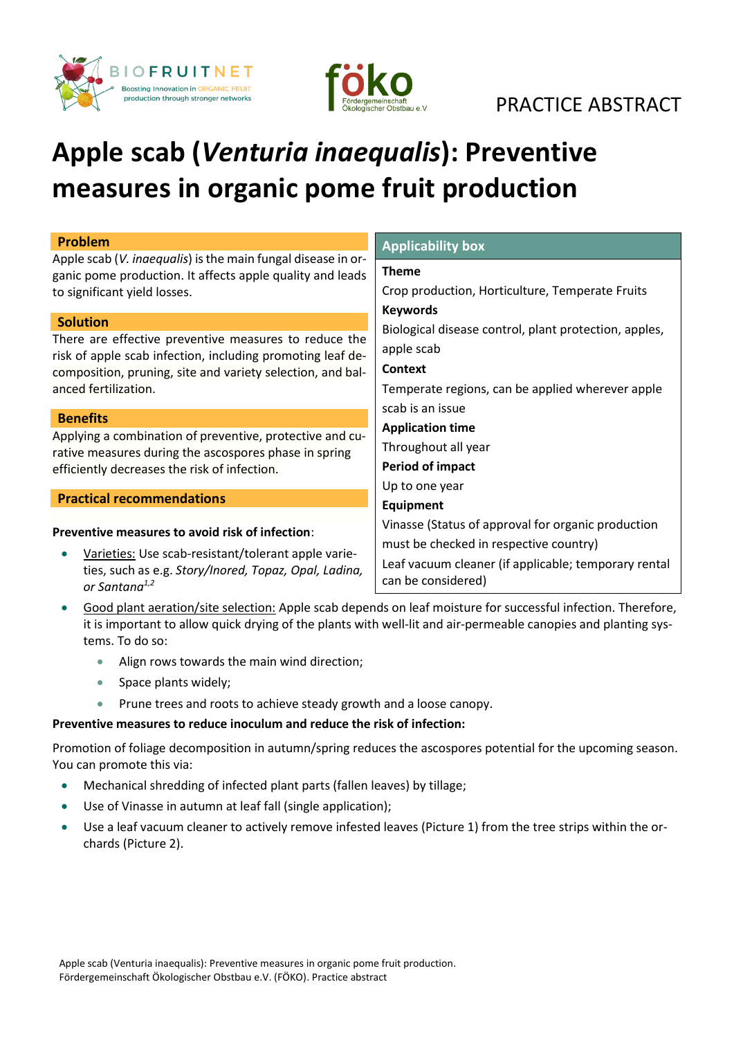



## PRACTICE ABSTRACT

# **Apple scab (***Venturia inaequalis***): Preventive measures in organic pome fruit production**

| <b>Problem</b>                                                                                                                                                                                                               | <b>Applicability box</b>                                                                                                                                                   |
|------------------------------------------------------------------------------------------------------------------------------------------------------------------------------------------------------------------------------|----------------------------------------------------------------------------------------------------------------------------------------------------------------------------|
| Apple scab (V. inaequalis) is the main fungal disease in or-<br>ganic pome production. It affects apple quality and leads<br>to significant yield losses.                                                                    | <b>Theme</b><br>Crop production, Horticulture, Temperate Fruits                                                                                                            |
| <b>Solution</b><br>There are effective preventive measures to reduce the<br>risk of apple scab infection, including promoting leaf de-<br>composition, pruning, site and variety selection, and bal-<br>anced fertilization. | <b>Keywords</b><br>Biological disease control, plant protection, apples,<br>apple scab<br>Context<br>Temperate regions, can be applied wherever apple<br>scab is an issue  |
| <b>Benefits</b>                                                                                                                                                                                                              |                                                                                                                                                                            |
| Applying a combination of preventive, protective and cu-<br>rative measures during the ascospores phase in spring<br>efficiently decreases the risk of infection.                                                            | <b>Application time</b><br>Throughout all year<br><b>Period of impact</b>                                                                                                  |
|                                                                                                                                                                                                                              | Up to one year                                                                                                                                                             |
| <b>Practical recommendations</b>                                                                                                                                                                                             | <b>Equipment</b>                                                                                                                                                           |
| Preventive measures to avoid risk of infection:<br>Varieties: Use scab-resistant/tolerant apple varie-<br>ties, such as e.g. Story/Inored, Topaz, Opal, Ladina,<br>or Santana <sup>1,2</sup>                                 | Vinasse (Status of approval for organic production<br>must be checked in respective country)<br>Leaf vacuum cleaner (if applicable; temporary rental<br>can be considered) |

- Good plant aeration/site selection: Apple scab depends on leaf moisture for successful infection. Therefore, it is important to allow quick drying of the plants with well-lit and air-permeable canopies and planting systems. To do so:
	- Align rows towards the main wind direction;
	- Space plants widely:
	- Prune trees and roots to achieve steady growth and a loose canopy.

### **Preventive measures to reduce inoculum and reduce the risk of infection:**

Promotion of foliage decomposition in autumn/spring reduces the ascospores potential for the upcoming season. You can promote this via:

- Mechanical shredding of infected plant parts (fallen leaves) by tillage;
- Use of Vinasse in autumn at leaf fall (single application);
- Use a leaf vacuum cleaner to actively remove infested leaves (Picture 1) from the tree strips within the orchards (Picture 2).